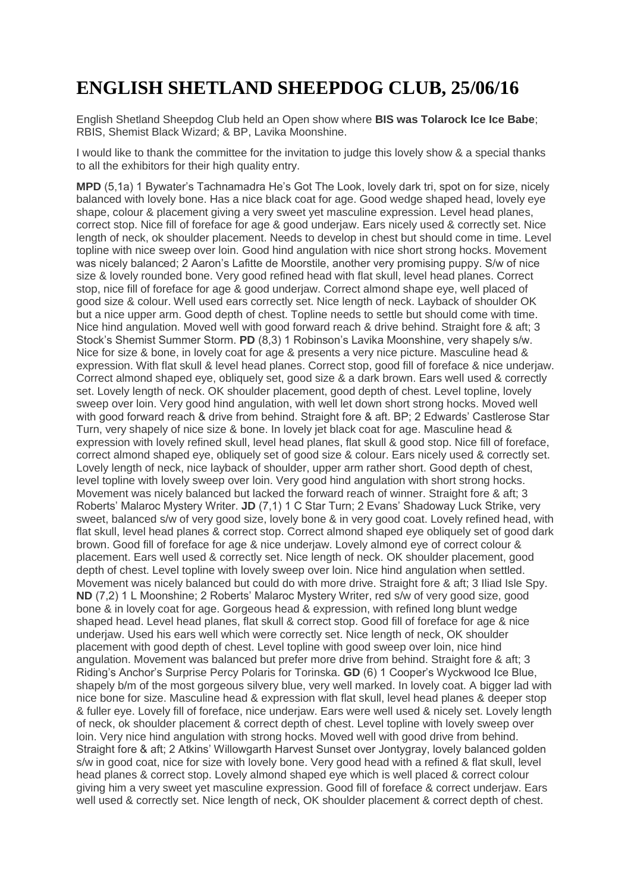## **ENGLISH SHETLAND SHEEPDOG CLUB, 25/06/16**

English Shetland Sheepdog Club held an Open show where **BIS was Tolarock Ice Ice Babe**; RBIS, Shemist Black Wizard; & BP, Lavika Moonshine.

I would like to thank the committee for the invitation to judge this lovely show & a special thanks to all the exhibitors for their high quality entry.

**MPD** (5,1a) 1 Bywater's Tachnamadra He's Got The Look, lovely dark tri, spot on for size, nicely balanced with lovely bone. Has a nice black coat for age. Good wedge shaped head, lovely eye shape, colour & placement giving a very sweet yet masculine expression. Level head planes, correct stop. Nice fill of foreface for age & good underjaw. Ears nicely used & correctly set. Nice length of neck, ok shoulder placement. Needs to develop in chest but should come in time. Level topline with nice sweep over loin. Good hind angulation with nice short strong hocks. Movement was nicely balanced; 2 Aaron's Lafitte de Moorstile, another very promising puppy. S/w of nice size & lovely rounded bone. Very good refined head with flat skull, level head planes. Correct stop, nice fill of foreface for age & good underjaw. Correct almond shape eye, well placed of good size & colour. Well used ears correctly set. Nice length of neck. Layback of shoulder OK but a nice upper arm. Good depth of chest. Topline needs to settle but should come with time. Nice hind angulation. Moved well with good forward reach & drive behind. Straight fore & aft; 3 Stock's Shemist Summer Storm. **PD** (8,3) 1 Robinson's Lavika Moonshine, very shapely s/w. Nice for size & bone, in lovely coat for age & presents a very nice picture. Masculine head & expression. With flat skull & level head planes. Correct stop, good fill of foreface & nice underjaw. Correct almond shaped eye, obliquely set, good size & a dark brown. Ears well used & correctly set. Lovely length of neck. OK shoulder placement, good depth of chest. Level topline, lovely sweep over loin. Very good hind angulation, with well let down short strong hocks. Moved well with good forward reach & drive from behind. Straight fore & aft. BP; 2 Edwards' Castlerose Star Turn, very shapely of nice size & bone. In lovely jet black coat for age. Masculine head & expression with lovely refined skull, level head planes, flat skull & good stop. Nice fill of foreface, correct almond shaped eye, obliquely set of good size & colour. Ears nicely used & correctly set. Lovely length of neck, nice layback of shoulder, upper arm rather short. Good depth of chest, level topline with lovely sweep over loin. Very good hind angulation with short strong hocks. Movement was nicely balanced but lacked the forward reach of winner. Straight fore & aft; 3 Roberts' Malaroc Mystery Writer. **JD** (7,1) 1 C Star Turn; 2 Evans' Shadoway Luck Strike, very sweet, balanced s/w of very good size, lovely bone & in very good coat. Lovely refined head, with flat skull, level head planes & correct stop. Correct almond shaped eye obliquely set of good dark brown. Good fill of foreface for age & nice underjaw. Lovely almond eye of correct colour & placement. Ears well used & correctly set. Nice length of neck. OK shoulder placement, good depth of chest. Level topline with lovely sweep over loin. Nice hind angulation when settled. Movement was nicely balanced but could do with more drive. Straight fore & aft; 3 Iliad Isle Spy. **ND** (7,2) 1 L Moonshine; 2 Roberts' Malaroc Mystery Writer, red s/w of very good size, good bone & in lovely coat for age. Gorgeous head & expression, with refined long blunt wedge shaped head. Level head planes, flat skull & correct stop. Good fill of foreface for age & nice underjaw. Used his ears well which were correctly set. Nice length of neck, OK shoulder placement with good depth of chest. Level topline with good sweep over loin, nice hind angulation. Movement was balanced but prefer more drive from behind. Straight fore & aft; 3 Riding's Anchor's Surprise Percy Polaris for Torinska. **GD** (6) 1 Cooper's Wyckwood Ice Blue, shapely b/m of the most gorgeous silvery blue, very well marked. In lovely coat. A bigger lad with nice bone for size. Masculine head & expression with flat skull, level head planes & deeper stop & fuller eye. Lovely fill of foreface, nice underjaw. Ears were well used & nicely set. Lovely length of neck, ok shoulder placement & correct depth of chest. Level topline with lovely sweep over loin. Very nice hind angulation with strong hocks. Moved well with good drive from behind. Straight fore & aft; 2 Atkins' Willowgarth Harvest Sunset over Jontygray, lovely balanced golden s/w in good coat, nice for size with lovely bone. Very good head with a refined & flat skull, level head planes & correct stop. Lovely almond shaped eye which is well placed & correct colour giving him a very sweet yet masculine expression. Good fill of foreface & correct underjaw. Ears well used & correctly set. Nice length of neck, OK shoulder placement & correct depth of chest.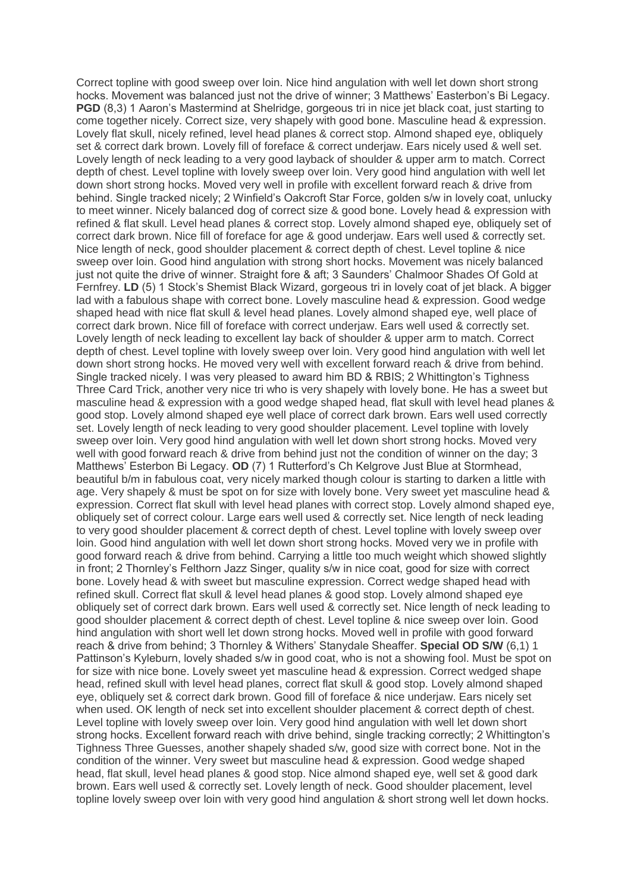Correct topline with good sweep over loin. Nice hind angulation with well let down short strong hocks. Movement was balanced just not the drive of winner; 3 Matthews' Easterbon's Bi Legacy. **PGD** (8,3) 1 Aaron's Mastermind at Shelridge, gorgeous tri in nice jet black coat, just starting to come together nicely. Correct size, very shapely with good bone. Masculine head & expression. Lovely flat skull, nicely refined, level head planes & correct stop. Almond shaped eye, obliquely set & correct dark brown. Lovely fill of foreface & correct underjaw. Ears nicely used & well set. Lovely length of neck leading to a very good layback of shoulder & upper arm to match. Correct depth of chest. Level topline with lovely sweep over loin. Very good hind angulation with well let down short strong hocks. Moved very well in profile with excellent forward reach & drive from behind. Single tracked nicely; 2 Winfield's Oakcroft Star Force, golden s/w in lovely coat, unlucky to meet winner. Nicely balanced dog of correct size & good bone. Lovely head & expression with refined & flat skull. Level head planes & correct stop. Lovely almond shaped eye, obliquely set of correct dark brown. Nice fill of foreface for age & good underjaw. Ears well used & correctly set. Nice length of neck, good shoulder placement & correct depth of chest. Level topline & nice sweep over loin. Good hind angulation with strong short hocks. Movement was nicely balanced just not quite the drive of winner. Straight fore & aft; 3 Saunders' Chalmoor Shades Of Gold at Fernfrey. **LD** (5) 1 Stock's Shemist Black Wizard, gorgeous tri in lovely coat of jet black. A bigger lad with a fabulous shape with correct bone. Lovely masculine head & expression. Good wedge shaped head with nice flat skull & level head planes. Lovely almond shaped eye, well place of correct dark brown. Nice fill of foreface with correct underjaw. Ears well used & correctly set. Lovely length of neck leading to excellent lay back of shoulder & upper arm to match. Correct depth of chest. Level topline with lovely sweep over loin. Very good hind angulation with well let down short strong hocks. He moved very well with excellent forward reach & drive from behind. Single tracked nicely. I was very pleased to award him BD & RBIS; 2 Whittington's Tighness Three Card Trick, another very nice tri who is very shapely with lovely bone. He has a sweet but masculine head & expression with a good wedge shaped head, flat skull with level head planes & good stop. Lovely almond shaped eye well place of correct dark brown. Ears well used correctly set. Lovely length of neck leading to very good shoulder placement. Level topline with lovely sweep over loin. Very good hind angulation with well let down short strong hocks. Moved very well with good forward reach & drive from behind just not the condition of winner on the day; 3 Matthews' Esterbon Bi Legacy. **OD** (7) 1 Rutterford's Ch Kelgrove Just Blue at Stormhead, beautiful b/m in fabulous coat, very nicely marked though colour is starting to darken a little with age. Very shapely & must be spot on for size with lovely bone. Very sweet yet masculine head & expression. Correct flat skull with level head planes with correct stop. Lovely almond shaped eye, obliquely set of correct colour. Large ears well used & correctly set. Nice length of neck leading to very good shoulder placement & correct depth of chest. Level topline with lovely sweep over loin. Good hind angulation with well let down short strong hocks. Moved very we in profile with good forward reach & drive from behind. Carrying a little too much weight which showed slightly in front; 2 Thornley's Felthorn Jazz Singer, quality s/w in nice coat, good for size with correct bone. Lovely head & with sweet but masculine expression. Correct wedge shaped head with refined skull. Correct flat skull & level head planes & good stop. Lovely almond shaped eye obliquely set of correct dark brown. Ears well used & correctly set. Nice length of neck leading to good shoulder placement & correct depth of chest. Level topline & nice sweep over loin. Good hind angulation with short well let down strong hocks. Moved well in profile with good forward reach & drive from behind; 3 Thornley & Withers' Stanydale Sheaffer. **Special OD S/W** (6,1) 1 Pattinson's Kyleburn, lovely shaded s/w in good coat, who is not a showing fool. Must be spot on for size with nice bone. Lovely sweet yet masculine head & expression. Correct wedged shape head, refined skull with level head planes, correct flat skull & good stop. Lovely almond shaped eye, obliquely set & correct dark brown. Good fill of foreface & nice underjaw. Ears nicely set when used. OK length of neck set into excellent shoulder placement & correct depth of chest. Level topline with lovely sweep over loin. Very good hind angulation with well let down short strong hocks. Excellent forward reach with drive behind, single tracking correctly; 2 Whittington's Tighness Three Guesses, another shapely shaded s/w, good size with correct bone. Not in the condition of the winner. Very sweet but masculine head & expression. Good wedge shaped head, flat skull, level head planes & good stop. Nice almond shaped eye, well set & good dark brown. Ears well used & correctly set. Lovely length of neck. Good shoulder placement, level topline lovely sweep over loin with very good hind angulation & short strong well let down hocks.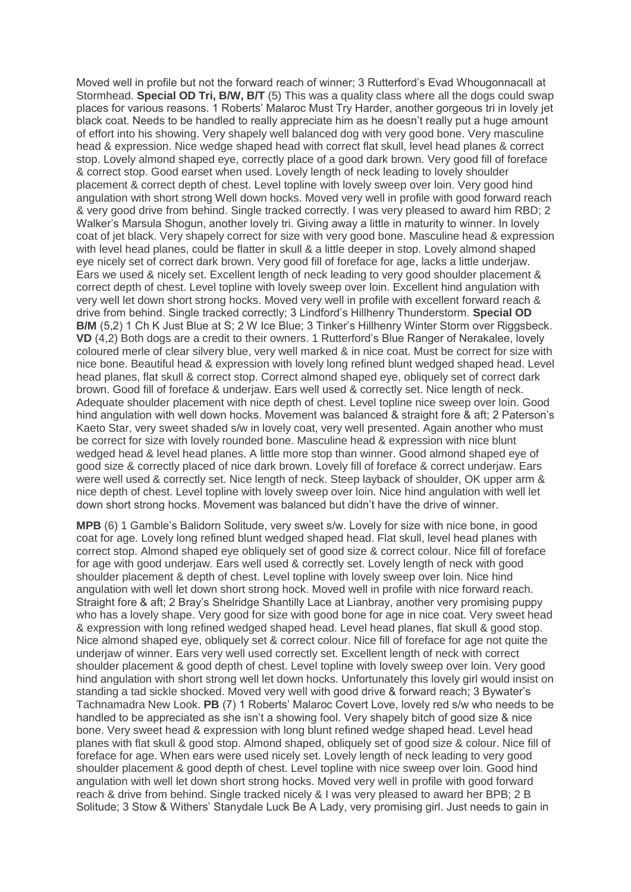Moved well in profile but not the forward reach of winner; 3 Rutterford's Evad Whougonnacall at Stormhead. **Special OD Tri, B/W, B/T** (5) This was a quality class where all the dogs could swap places for various reasons. 1 Roberts' Malaroc Must Try Harder, another gorgeous tri in lovely jet black coat. Needs to be handled to really appreciate him as he doesn't really put a huge amount of effort into his showing. Very shapely well balanced dog with very good bone. Very masculine head & expression. Nice wedge shaped head with correct flat skull, level head planes & correct stop. Lovely almond shaped eye, correctly place of a good dark brown. Very good fill of foreface & correct stop. Good earset when used. Lovely length of neck leading to lovely shoulder placement & correct depth of chest. Level topline with lovely sweep over loin. Very good hind angulation with short strong Well down hocks. Moved very well in profile with good forward reach & very good drive from behind. Single tracked correctly. I was very pleased to award him RBD; 2 Walker's Marsula Shogun, another lovely tri. Giving away a little in maturity to winner. In lovely coat of jet black. Very shapely correct for size with very good bone. Masculine head & expression with level head planes, could be flatter in skull & a little deeper in stop. Lovely almond shaped eye nicely set of correct dark brown. Very good fill of foreface for age, lacks a little underjaw. Ears we used & nicely set. Excellent length of neck leading to very good shoulder placement & correct depth of chest. Level topline with lovely sweep over loin. Excellent hind angulation with very well let down short strong hocks. Moved very well in profile with excellent forward reach & drive from behind. Single tracked correctly; 3 Lindford's Hillhenry Thunderstorm. **Special OD B/M** (5.2) 1 Ch K Just Blue at S; 2 W Ice Blue; 3 Tinker's Hillhenry Winter Storm over Riggsbeck. **VD** (4,2) Both dogs are a credit to their owners. 1 Rutterford's Blue Ranger of Nerakalee, lovely coloured merle of clear silvery blue, very well marked & in nice coat. Must be correct for size with nice bone. Beautiful head & expression with lovely long refined blunt wedged shaped head. Level head planes, flat skull & correct stop. Correct almond shaped eye, obliquely set of correct dark brown. Good fill of foreface & underjaw. Ears well used & correctly set. Nice length of neck. Adequate shoulder placement with nice depth of chest. Level topline nice sweep over loin. Good hind angulation with well down hocks. Movement was balanced & straight fore & aft; 2 Paterson's Kaeto Star, very sweet shaded s/w in lovely coat, very well presented. Again another who must be correct for size with lovely rounded bone. Masculine head & expression with nice blunt wedged head & level head planes. A little more stop than winner. Good almond shaped eye of good size & correctly placed of nice dark brown. Lovely fill of foreface & correct underjaw. Ears were well used & correctly set. Nice length of neck. Steep layback of shoulder, OK upper arm & nice depth of chest. Level topline with lovely sweep over loin. Nice hind angulation with well let down short strong hocks. Movement was balanced but didn't have the drive of winner.

**MPB** (6) 1 Gamble's Balidorn Solitude, very sweet s/w. Lovely for size with nice bone, in good coat for age. Lovely long refined blunt wedged shaped head. Flat skull, level head planes with correct stop. Almond shaped eye obliquely set of good size & correct colour. Nice fill of foreface for age with good underjaw. Ears well used & correctly set. Lovely length of neck with good shoulder placement & depth of chest. Level topline with lovely sweep over loin. Nice hind angulation with well let down short strong hock. Moved well in profile with nice forward reach. Straight fore & aft; 2 Bray's Shelridge Shantilly Lace at Lianbray, another very promising puppy who has a lovely shape. Very good for size with good bone for age in nice coat. Very sweet head & expression with long refined wedged shaped head. Level head planes, flat skull & good stop. Nice almond shaped eye, obliquely set & correct colour. Nice fill of foreface for age not quite the underjaw of winner. Ears very well used correctly set. Excellent length of neck with correct shoulder placement & good depth of chest. Level topline with lovely sweep over loin. Very good hind angulation with short strong well let down hocks. Unfortunately this lovely girl would insist on standing a tad sickle shocked. Moved very well with good drive & forward reach; 3 Bywater's Tachnamadra New Look. **PB** (7) 1 Roberts' Malaroc Covert Love, lovely red s/w who needs to be handled to be appreciated as she isn't a showing fool. Very shapely bitch of good size & nice bone. Very sweet head & expression with long blunt refined wedge shaped head. Level head planes with flat skull & good stop. Almond shaped, obliquely set of good size & colour. Nice fill of foreface for age. When ears were used nicely set. Lovely length of neck leading to very good shoulder placement & good depth of chest. Level topline with nice sweep over loin. Good hind angulation with well let down short strong hocks. Moved very well in profile with good forward reach & drive from behind. Single tracked nicely & I was very pleased to award her BPB; 2 B Solitude; 3 Stow & Withers' Stanydale Luck Be A Lady, very promising girl. Just needs to gain in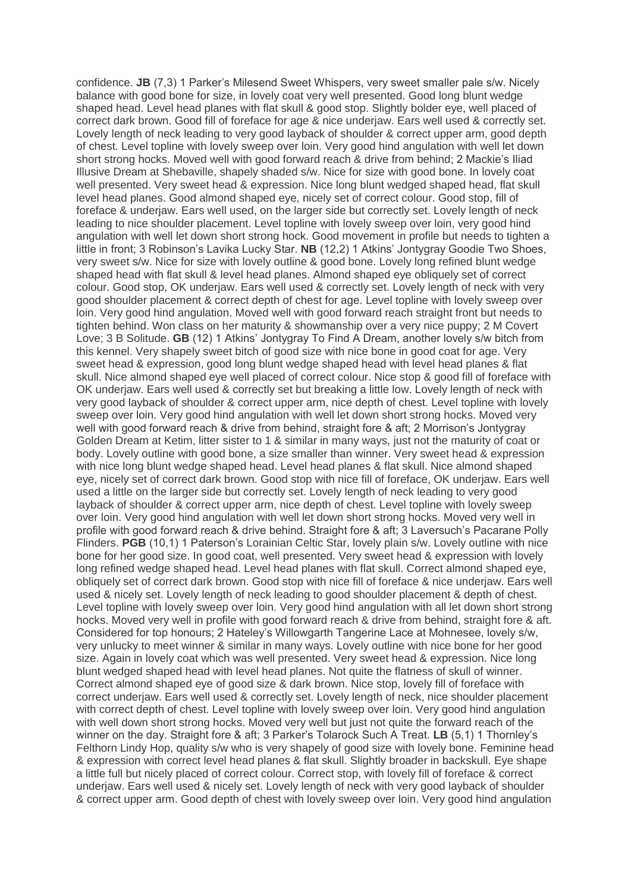confidence. **JB** (7,3) 1 Parker's Milesend Sweet Whispers, very sweet smaller pale s/w. Nicely balance with good bone for size, in lovely coat very well presented. Good long blunt wedge shaped head. Level head planes with flat skull & good stop. Slightly bolder eye, well placed of correct dark brown. Good fill of foreface for age & nice underjaw. Ears well used & correctly set. Lovely length of neck leading to very good layback of shoulder & correct upper arm, good depth of chest. Level topline with lovely sweep over loin. Very good hind angulation with well let down short strong hocks. Moved well with good forward reach & drive from behind; 2 Mackie's Iliad Illusive Dream at Shebaville, shapely shaded s/w. Nice for size with good bone. In lovely coat well presented. Very sweet head & expression. Nice long blunt wedged shaped head, flat skull level head planes. Good almond shaped eye, nicely set of correct colour. Good stop, fill of foreface & underjaw. Ears well used, on the larger side but correctly set. Lovely length of neck leading to nice shoulder placement. Level topline with lovely sweep over loin, very good hind angulation with well let down short strong hock. Good movement in profile but needs to tighten a little in front; 3 Robinson's Lavika Lucky Star. **NB** (12,2) 1 Atkins' Jontygray Goodie Two Shoes, very sweet s/w. Nice for size with lovely outline & good bone. Lovely long refined blunt wedge shaped head with flat skull & level head planes. Almond shaped eye obliquely set of correct colour. Good stop, OK underjaw. Ears well used & correctly set. Lovely length of neck with very good shoulder placement & correct depth of chest for age. Level topline with lovely sweep over loin. Very good hind angulation. Moved well with good forward reach straight front but needs to tighten behind. Won class on her maturity & showmanship over a very nice puppy; 2 M Covert Love; 3 B Solitude. **GB** (12) 1 Atkins' Jontygray To Find A Dream, another lovely s/w bitch from this kennel. Very shapely sweet bitch of good size with nice bone in good coat for age. Very sweet head & expression, good long blunt wedge shaped head with level head planes & flat skull. Nice almond shaped eye well placed of correct colour. Nice stop & good fill of foreface with OK underjaw. Ears well used & correctly set but breaking a little low. Lovely length of neck with very good layback of shoulder & correct upper arm, nice depth of chest. Level topline with lovely sweep over loin. Very good hind angulation with well let down short strong hocks. Moved very well with good forward reach & drive from behind, straight fore & aft; 2 Morrison's Jontygray Golden Dream at Ketim, litter sister to 1 & similar in many ways, just not the maturity of coat or body. Lovely outline with good bone, a size smaller than winner. Very sweet head & expression with nice long blunt wedge shaped head. Level head planes & flat skull. Nice almond shaped eye, nicely set of correct dark brown. Good stop with nice fill of foreface, OK underjaw. Ears well used a little on the larger side but correctly set. Lovely length of neck leading to very good layback of shoulder & correct upper arm, nice depth of chest. Level topline with lovely sweep over loin. Very good hind angulation with well let down short strong hocks. Moved very well in profile with good forward reach & drive behind. Straight fore & aft; 3 Laversuch's Pacarane Polly Flinders. **PGB** (10,1) 1 Paterson's Lorainian Celtic Star, lovely plain s/w. Lovely outline with nice bone for her good size. In good coat, well presented. Very sweet head & expression with lovely long refined wedge shaped head. Level head planes with flat skull. Correct almond shaped eye, obliquely set of correct dark brown. Good stop with nice fill of foreface & nice underjaw. Ears well used & nicely set. Lovely length of neck leading to good shoulder placement & depth of chest. Level topline with lovely sweep over loin. Very good hind angulation with all let down short strong hocks. Moved very well in profile with good forward reach & drive from behind, straight fore & aft. Considered for top honours; 2 Hateley's Willowgarth Tangerine Lace at Mohnesee, lovely s/w, very unlucky to meet winner & similar in many ways. Lovely outline with nice bone for her good size. Again in lovely coat which was well presented. Very sweet head & expression. Nice long blunt wedged shaped head with level head planes. Not quite the flatness of skull of winner. Correct almond shaped eye of good size & dark brown. Nice stop, lovely fill of foreface with correct underjaw. Ears well used & correctly set. Lovely length of neck, nice shoulder placement with correct depth of chest. Level topline with lovely sweep over loin. Very good hind angulation with well down short strong hocks. Moved very well but just not quite the forward reach of the winner on the day. Straight fore & aft; 3 Parker's Tolarock Such A Treat. **LB** (5,1) 1 Thornley's Felthorn Lindy Hop, quality s/w who is very shapely of good size with lovely bone. Feminine head & expression with correct level head planes & flat skull. Slightly broader in backskull. Eye shape a little full but nicely placed of correct colour. Correct stop, with lovely fill of foreface & correct underjaw. Ears well used & nicely set. Lovely length of neck with very good layback of shoulder & correct upper arm. Good depth of chest with lovely sweep over loin. Very good hind angulation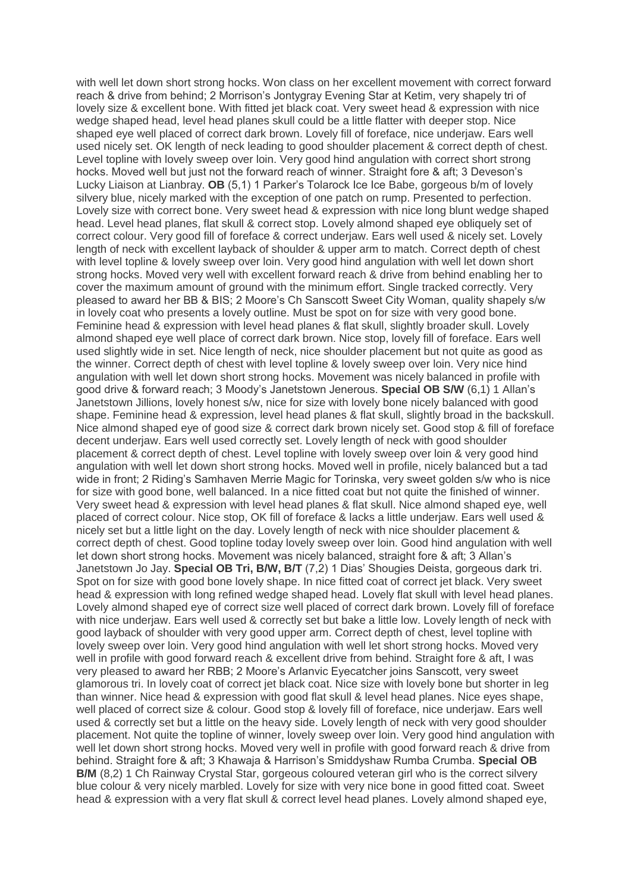with well let down short strong hocks. Won class on her excellent movement with correct forward reach & drive from behind; 2 Morrison's Jontygray Evening Star at Ketim, very shapely tri of lovely size & excellent bone. With fitted jet black coat. Very sweet head & expression with nice wedge shaped head, level head planes skull could be a little flatter with deeper stop. Nice shaped eye well placed of correct dark brown. Lovely fill of foreface, nice underjaw. Ears well used nicely set. OK length of neck leading to good shoulder placement & correct depth of chest. Level topline with lovely sweep over loin. Very good hind angulation with correct short strong hocks. Moved well but just not the forward reach of winner. Straight fore & aft; 3 Deveson's Lucky Liaison at Lianbray. **OB** (5,1) 1 Parker's Tolarock Ice Ice Babe, gorgeous b/m of lovely silvery blue, nicely marked with the exception of one patch on rump. Presented to perfection. Lovely size with correct bone. Very sweet head & expression with nice long blunt wedge shaped head. Level head planes, flat skull & correct stop. Lovely almond shaped eye obliquely set of correct colour. Very good fill of foreface & correct underjaw. Ears well used & nicely set. Lovely length of neck with excellent layback of shoulder & upper arm to match. Correct depth of chest with level topline & lovely sweep over loin. Very good hind angulation with well let down short strong hocks. Moved very well with excellent forward reach & drive from behind enabling her to cover the maximum amount of ground with the minimum effort. Single tracked correctly. Very pleased to award her BB & BIS; 2 Moore's Ch Sanscott Sweet City Woman, quality shapely s/w in lovely coat who presents a lovely outline. Must be spot on for size with very good bone. Feminine head & expression with level head planes & flat skull, slightly broader skull. Lovely almond shaped eye well place of correct dark brown. Nice stop, lovely fill of foreface. Ears well used slightly wide in set. Nice length of neck, nice shoulder placement but not quite as good as the winner. Correct depth of chest with level topline & lovely sweep over loin. Very nice hind angulation with well let down short strong hocks. Movement was nicely balanced in profile with good drive & forward reach; 3 Moody's Janetstown Jenerous. **Special OB S/W** (6,1) 1 Allan's Janetstown Jillions, lovely honest s/w, nice for size with lovely bone nicely balanced with good shape. Feminine head & expression, level head planes & flat skull, slightly broad in the backskull. Nice almond shaped eye of good size & correct dark brown nicely set. Good stop & fill of foreface decent underjaw. Ears well used correctly set. Lovely length of neck with good shoulder placement & correct depth of chest. Level topline with lovely sweep over loin & very good hind angulation with well let down short strong hocks. Moved well in profile, nicely balanced but a tad wide in front; 2 Riding's Samhaven Merrie Magic for Torinska, very sweet golden s/w who is nice for size with good bone, well balanced. In a nice fitted coat but not quite the finished of winner. Very sweet head & expression with level head planes & flat skull. Nice almond shaped eye, well placed of correct colour. Nice stop, OK fill of foreface & lacks a little underjaw. Ears well used & nicely set but a little light on the day. Lovely length of neck with nice shoulder placement & correct depth of chest. Good topline today lovely sweep over loin. Good hind angulation with well let down short strong hocks. Movement was nicely balanced, straight fore & aft; 3 Allan's Janetstown Jo Jay. **Special OB Tri, B/W, B/T** (7,2) 1 Dias' Shougies Deista, gorgeous dark tri. Spot on for size with good bone lovely shape. In nice fitted coat of correct jet black. Very sweet head & expression with long refined wedge shaped head. Lovely flat skull with level head planes. Lovely almond shaped eye of correct size well placed of correct dark brown. Lovely fill of foreface with nice underjaw. Ears well used & correctly set but bake a little low. Lovely length of neck with good layback of shoulder with very good upper arm. Correct depth of chest, level topline with lovely sweep over loin. Very good hind angulation with well let short strong hocks. Moved very well in profile with good forward reach & excellent drive from behind. Straight fore & aft, I was very pleased to award her RBB; 2 Moore's Arlanvic Eyecatcher joins Sanscott, very sweet glamorous tri. In lovely coat of correct jet black coat. Nice size with lovely bone but shorter in leg than winner. Nice head & expression with good flat skull & level head planes. Nice eyes shape, well placed of correct size & colour. Good stop & lovely fill of foreface, nice underjaw. Ears well used & correctly set but a little on the heavy side. Lovely length of neck with very good shoulder placement. Not quite the topline of winner, lovely sweep over loin. Very good hind angulation with well let down short strong hocks. Moved very well in profile with good forward reach & drive from behind. Straight fore & aft; 3 Khawaja & Harrison's Smiddyshaw Rumba Crumba. **Special OB B/M** (8,2) 1 Ch Rainway Crystal Star, gorgeous coloured veteran girl who is the correct silvery blue colour & very nicely marbled. Lovely for size with very nice bone in good fitted coat. Sweet head & expression with a very flat skull & correct level head planes. Lovely almond shaped eye,